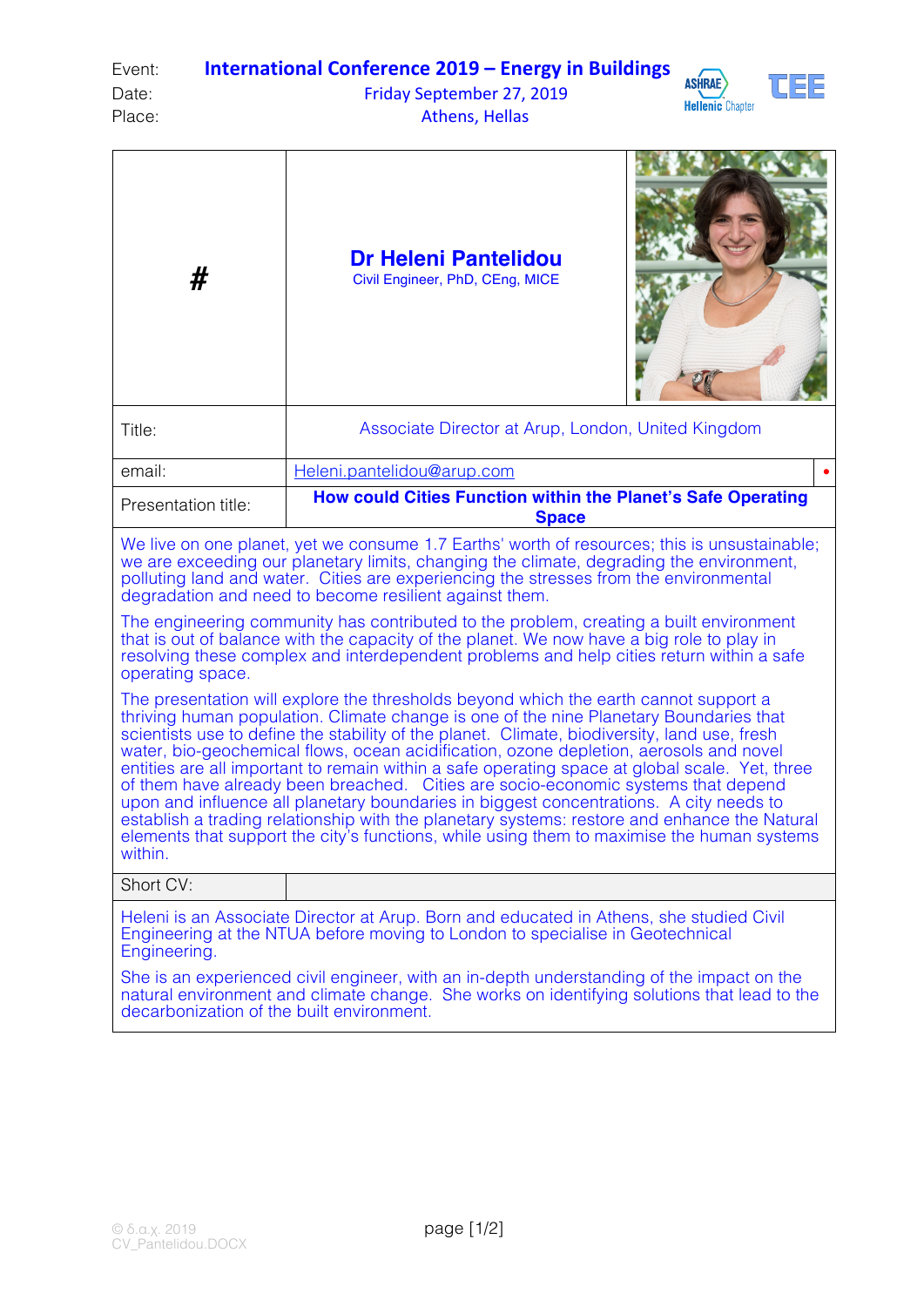| Event: | <b>International Conference 2019 – Energy in Buildings</b> |  |  |  |
|--------|------------------------------------------------------------|--|--|--|
|        |                                                            |  |  |  |

## Date: Case Controller September 27, 2019 Place: Athens, Hellas





| #                                                                                                                                                                                                                                                                                                                                                                                                                                                                                                                                                                                                                                                                                                                                                                                                                                   | <b>Dr Heleni Pantelidou</b><br>Civil Engineer, PhD, CEng, MICE               |  |  |  |  |  |  |
|-------------------------------------------------------------------------------------------------------------------------------------------------------------------------------------------------------------------------------------------------------------------------------------------------------------------------------------------------------------------------------------------------------------------------------------------------------------------------------------------------------------------------------------------------------------------------------------------------------------------------------------------------------------------------------------------------------------------------------------------------------------------------------------------------------------------------------------|------------------------------------------------------------------------------|--|--|--|--|--|--|
| Title:                                                                                                                                                                                                                                                                                                                                                                                                                                                                                                                                                                                                                                                                                                                                                                                                                              | Associate Director at Arup, London, United Kingdom                           |  |  |  |  |  |  |
| email:                                                                                                                                                                                                                                                                                                                                                                                                                                                                                                                                                                                                                                                                                                                                                                                                                              | Heleni.pantelidou@arup.com                                                   |  |  |  |  |  |  |
| Presentation title:                                                                                                                                                                                                                                                                                                                                                                                                                                                                                                                                                                                                                                                                                                                                                                                                                 | How could Cities Function within the Planet's Safe Operating<br><b>Space</b> |  |  |  |  |  |  |
| We live on one planet, yet we consume 1.7 Earths' worth of resources; this is unsustainable;<br>we are exceeding our planetary limits, changing the climate, degrading the environment,<br>polluting land and water. Cities are experiencing the stresses from the environmental<br>degradation and need to become resilient against them.<br>The engineering community has contributed to the problem, creating a built environment<br>that is out of balance with the capacity of the planet. We now have a big role to play in<br>resolving these complex and interdependent problems and help cities return within a safe<br>operating space.<br>The presentation will explore the thresholds beyond which the earth cannot support a<br>thriving human population. Climate change is one of the nine Planetary Boundaries that |                                                                              |  |  |  |  |  |  |
| scientists use to define the stability of the planet. Climate, biodiversity, land use, fresh<br>water, bio-geochemical flows, ocean acidification, ozone depletion, aerosols and novel<br>entities are all important to remain within a safe operating space at global scale. Yet, three<br>of them have already been breached. Cities are socio-economic systems that depend<br>upon and influence all planetary boundaries in biggest concentrations. A city needs to<br>establish a trading relationship with the planetary systems: restore and enhance the Natural<br>elements that support the city's functions, while using them to maximise the human systems<br>within.                                                                                                                                                    |                                                                              |  |  |  |  |  |  |
| Short CV:                                                                                                                                                                                                                                                                                                                                                                                                                                                                                                                                                                                                                                                                                                                                                                                                                           |                                                                              |  |  |  |  |  |  |
| Heleni is an Associate Director at Arup. Born and educated in Athens, she studied Civil<br>Engineering at the NTUA before moving to London to specialise in Geotechnical<br>Engineering.                                                                                                                                                                                                                                                                                                                                                                                                                                                                                                                                                                                                                                            |                                                                              |  |  |  |  |  |  |
| She is an experienced civil engineer, with an in-depth understanding of the impact on the<br>natural environment and climate change. She works on identifying solutions that lead to the<br>decarbonization of the built environment.                                                                                                                                                                                                                                                                                                                                                                                                                                                                                                                                                                                               |                                                                              |  |  |  |  |  |  |